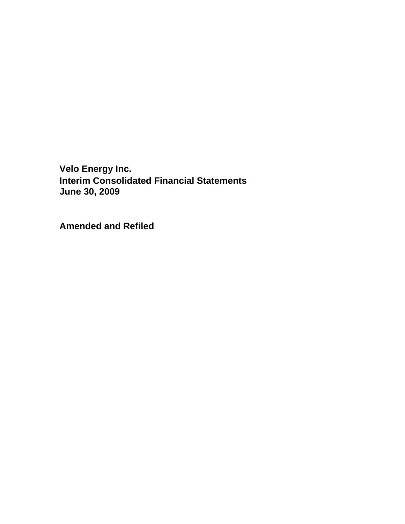**Amended and Refiled**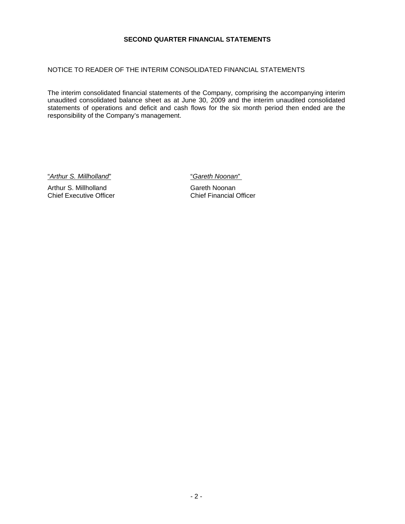#### **SECOND QUARTER FINANCIAL STATEMENTS**

# NOTICE TO READER OF THE INTERIM CONSOLIDATED FINANCIAL STATEMENTS

The interim consolidated financial statements of the Company, comprising the accompanying interim unaudited consolidated balance sheet as at June 30, 2009 and the interim unaudited consolidated statements of operations and deficit and cash flows for the six month period then ended are the responsibility of the Company's management.

"*Arthur S. Millholland*" "*Gareth Noonan*"

Arthur S. Millholland<br>
Chief Executive Officer<br>
Chief Financial Officer Chief Executive Officer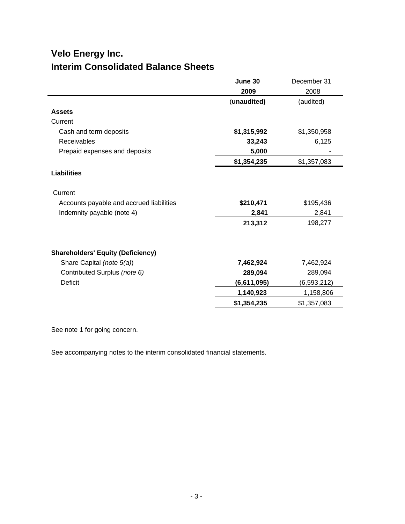# **Velo Energy Inc. Interim Consolidated Balance Sheets**

|                                          | June 30     | December 31   |
|------------------------------------------|-------------|---------------|
|                                          | 2009        | 2008          |
|                                          | (unaudited) | (audited)     |
| <b>Assets</b>                            |             |               |
| Current                                  |             |               |
| Cash and term deposits                   | \$1,315,992 | \$1,350,958   |
| Receivables                              | 33,243      | 6,125         |
| Prepaid expenses and deposits            | 5,000       |               |
|                                          | \$1,354,235 | \$1,357,083   |
| <b>Liabilities</b>                       |             |               |
| Current                                  |             |               |
| Accounts payable and accrued liabilities | \$210,471   | \$195,436     |
| Indemnity payable (note 4)               | 2,841       | 2,841         |
|                                          | 213,312     | 198,277       |
| <b>Shareholders' Equity (Deficiency)</b> |             |               |
| Share Capital (note 5(a))                | 7,462,924   | 7,462,924     |
| Contributed Surplus (note 6)             | 289,094     | 289,094       |
| <b>Deficit</b>                           | (6,611,095) | (6, 593, 212) |
|                                          | 1,140,923   | 1,158,806     |
|                                          | \$1,354,235 | \$1,357,083   |

See note 1 for going concern.

See accompanying notes to the interim consolidated financial statements.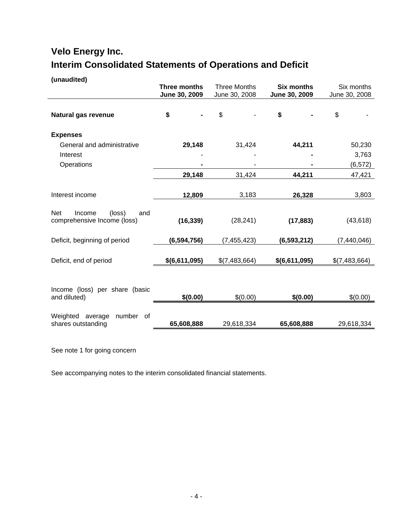# **Velo Energy Inc. Interim Consolidated Statements of Operations and Deficit**

**(unaudited)**

|                                                               | Three months<br>June 30, 2009 | <b>Three Months</b><br>June 30, 2008 | <b>Six months</b><br>June 30, 2009 | Six months<br>June 30, 2008 |
|---------------------------------------------------------------|-------------------------------|--------------------------------------|------------------------------------|-----------------------------|
| Natural gas revenue                                           | \$                            | \$                                   | \$                                 | \$                          |
| <b>Expenses</b>                                               |                               |                                      |                                    |                             |
| General and administrative                                    | 29,148                        | 31,424                               | 44,211                             | 50,230                      |
| Interest                                                      |                               |                                      |                                    | 3,763                       |
| Operations                                                    |                               |                                      |                                    | (6, 572)                    |
|                                                               | 29,148                        | 31,424                               | 44,211                             | 47,421                      |
|                                                               |                               |                                      |                                    |                             |
| Interest income                                               | 12,809                        | 3,183                                | 26,328                             | 3,803                       |
| Net<br>Income<br>(loss)<br>and<br>comprehensive Income (loss) | (16, 339)                     | (28, 241)                            | (17, 883)                          | (43, 618)                   |
| Deficit, beginning of period                                  | (6, 594, 756)                 | (7, 455, 423)                        | (6, 593, 212)                      | (7,440,046)                 |
| Deficit, end of period                                        | \$(6,611,095)                 | \$(7,483,664)                        | \$(6,611,095)                      | \$(7,483,664)               |
| Income (loss) per share (basic<br>and diluted)                | \$(0.00)                      | \$(0.00)                             | \$(0.00)                           | \$(0.00)                    |
| Weighted average<br>number<br>0f<br>shares outstanding        | 65,608,888                    | 29,618,334                           | 65,608,888                         | 29,618,334                  |

See note 1 for going concern

See accompanying notes to the interim consolidated financial statements.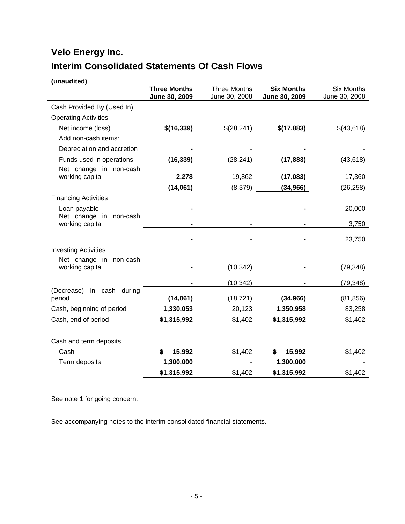# **Velo Energy Inc. Interim Consolidated Statements Of Cash Flows**

| (unaudited)                               |                                      |                                      |                                    |                                    |
|-------------------------------------------|--------------------------------------|--------------------------------------|------------------------------------|------------------------------------|
|                                           | <b>Three Months</b><br>June 30, 2009 | <b>Three Months</b><br>June 30, 2008 | <b>Six Months</b><br>June 30, 2009 | <b>Six Months</b><br>June 30, 2008 |
| Cash Provided By (Used In)                |                                      |                                      |                                    |                                    |
| <b>Operating Activities</b>               |                                      |                                      |                                    |                                    |
| Net income (loss)                         | \$(16,339)                           | \$(28,241)                           | \$(17,883)                         | \$(43,618)                         |
| Add non-cash items:                       |                                      |                                      |                                    |                                    |
| Depreciation and accretion                |                                      |                                      |                                    |                                    |
| Funds used in operations                  | (16, 339)                            | (28, 241)                            | (17, 883)                          | (43, 618)                          |
| Net change in non-cash<br>working capital | 2,278                                | 19,862                               | (17,083)                           | 17,360                             |
|                                           | (14,061)                             | (8,379)                              | (34, 966)                          | (26, 258)                          |
| <b>Financing Activities</b>               |                                      |                                      |                                    |                                    |
| Loan payable                              |                                      |                                      |                                    | 20,000                             |
| Net change in non-cash<br>working capital |                                      |                                      |                                    | 3,750                              |
|                                           |                                      |                                      |                                    | 23,750                             |
| <b>Investing Activities</b>               |                                      |                                      |                                    |                                    |
| Net change in non-cash<br>working capital |                                      | (10, 342)                            |                                    | (79, 348)                          |
|                                           |                                      | (10, 342)                            |                                    | (79, 348)                          |
| (Decrease)<br>in cash during              |                                      |                                      |                                    |                                    |
| period                                    | (14,061)                             | (18, 721)                            | (34, 966)                          | (81, 856)                          |
| Cash, beginning of period                 | 1,330,053                            | 20,123                               | 1,350,958                          | 83,258                             |
| Cash, end of period                       | \$1,315,992                          | \$1,402                              | \$1,315,992                        | \$1,402                            |
|                                           |                                      |                                      |                                    |                                    |
| Cash and term deposits                    |                                      |                                      |                                    |                                    |
| Cash                                      | \$<br>15,992                         | \$1,402                              | 15,992<br>\$                       | \$1,402                            |
| Term deposits                             | 1,300,000                            |                                      | 1,300,000                          |                                    |
|                                           | \$1,315,992                          | \$1,402                              | \$1,315,992                        | \$1,402                            |

See note 1 for going concern.

See accompanying notes to the interim consolidated financial statements.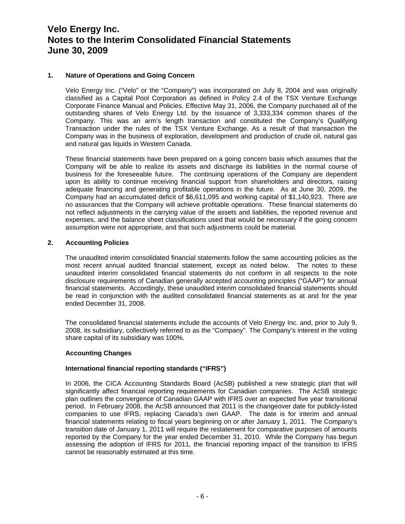## **1. Nature of Operations and Going Concern**

 Velo Energy Inc. ("Velo" or the "Company") was incorporated on July 8, 2004 and was originally classified as a Capital Pool Corporation as defined in Policy 2.4 of the TSX Venture Exchange Corporate Finance Manual and Policies. Effective May 31, 2006, the Company purchased all of the outstanding shares of Velo Energy Ltd. by the issuance of 3,333,334 common shares of the Company. This was an arm's length transaction and constituted the Company's Qualifying Transaction under the rules of the TSX Venture Exchange. As a result of that transaction the Company was in the business of exploration, development and production of crude oil, natural gas and natural gas liquids in Western Canada.

 These financial statements have been prepared on a going concern basis which assumes that the Company will be able to realize its assets and discharge its liabilities in the normal course of business for the foreseeable future. The continuing operations of the Company are dependent upon its ability to continue receiving financial support from shareholders and directors, raising adequate financing and generating profitable operations in the future. As at June 30, 2009, the Company had an accumulated deficit of \$6,611,095 and working capital of \$1,140,923. There are no assurances that the Company will achieve profitable operations. These financial statements do not reflect adjustments in the carrying value of the assets and liabilities, the reported revenue and expenses, and the balance sheet classifications used that would be necessary if the going concern assumption were not appropriate, and that such adjustments could be material.

#### **2. Accounting Policies**

The unaudited interim consolidated financial statements follow the same accounting policies as the most recent annual audited financial statement, except as noted below. The notes to these unaudited interim consolidated financial statements do not conform in all respects to the note disclosure requirements of Canadian generally accepted accounting principles ("GAAP") for annual financial statements. Accordingly, these unaudited interim consolidated financial statements should be read in conjunction with the audited consolidated financial statements as at and for the year ended December 31, 2008.

The consolidated financial statements include the accounts of Velo Energy Inc. and, prior to July 9, 2008, its subsidiary, collectively referred to as the "Company". The Company's interest in the voting share capital of its subsidiary was 100%.

#### **Accounting Changes**

#### **International financial reporting standards ("IFRS")**

In 2006, the CICA Accounting Standards Board (AcSB) published a new strategic plan that will significantly affect financial reporting requirements for Canadian companies. The AcSB strategic plan outlines the convergence of Canadian GAAP with IFRS over an expected five year transitional period. In February 2008, the AcSB announced that 2011 is the changeover date for publicly-listed companies to use IFRS, replacing Canada's own GAAP. The date is for interim and annual financial statements relating to fiscal years beginning on or after January 1, 2011. The Company's transition date of January 1, 2011 will require the restatement for comparative purposes of amounts reported by the Company for the year ended December 31, 2010. While the Company has begun assessing the adoption of IFRS for 2011, the financial reporting impact of the transition to IFRS cannot be reasonably estimated at this time.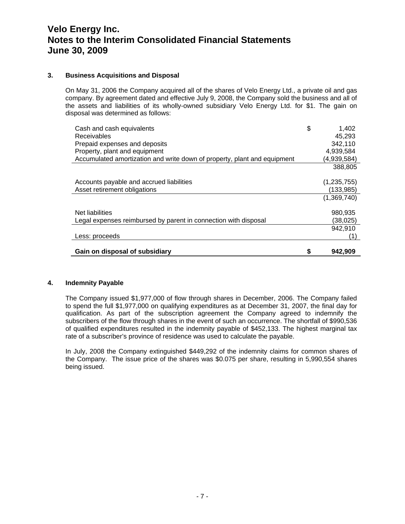## **3. Business Acquisitions and Disposal**

On May 31, 2006 the Company acquired all of the shares of Velo Energy Ltd., a private oil and gas company. By agreement dated and effective July 9, 2008, the Company sold the business and all of the assets and liabilities of its wholly-owned subsidiary Velo Energy Ltd. for \$1. The gain on disposal was determined as follows:

| Cash and cash equivalents<br>Receivables                                 | \$<br>1,402<br>45,293 |
|--------------------------------------------------------------------------|-----------------------|
| Prepaid expenses and deposits                                            | 342,110               |
| Property, plant and equipment                                            | 4,939,584             |
| Accumulated amortization and write down of property, plant and equipment | (4,939,584)           |
|                                                                          | 388,805               |
|                                                                          |                       |
| Accounts payable and accrued liabilities                                 | (1,235,755)           |
| Asset retirement obligations                                             | (133,985)             |
|                                                                          | (1,369,740)           |
|                                                                          |                       |
| Net liabilities                                                          | 980,935               |
| Legal expenses reimbursed by parent in connection with disposal          | (38,025)              |
|                                                                          | 942,910               |
| Less: proceeds                                                           | (1                    |
|                                                                          |                       |
| Gain on disposal of subsidiary                                           | 942,909               |

#### **4. Indemnity Payable**

The Company issued \$1,977,000 of flow through shares in December, 2006. The Company failed to spend the full \$1,977,000 on qualifying expenditures as at December 31, 2007, the final day for qualification. As part of the subscription agreement the Company agreed to indemnify the subscribers of the flow through shares in the event of such an occurrence. The shortfall of \$990,536 of qualified expenditures resulted in the indemnity payable of \$452,133. The highest marginal tax rate of a subscriber's province of residence was used to calculate the payable.

In July, 2008 the Company extinguished \$449,292 of the indemnity claims for common shares of the Company. The issue price of the shares was \$0.075 per share, resulting in 5,990,554 shares being issued.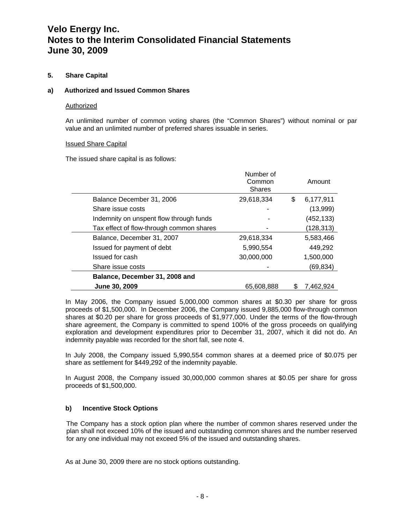# **5. Share Capital**

#### **a) Authorized and Issued Common Shares**

#### Authorized

An unlimited number of common voting shares (the "Common Shares") without nominal or par value and an unlimited number of preferred shares issuable in series.

#### Issued Share Capital

The issued share capital is as follows:

|                                          | Number of<br>Common<br><b>Shares</b> |    | Amount     |
|------------------------------------------|--------------------------------------|----|------------|
| Balance December 31, 2006                | 29,618,334                           | \$ | 6,177,911  |
| Share issue costs                        |                                      |    | (13,999)   |
| Indemnity on unspent flow through funds  |                                      |    | (452, 133) |
| Tax effect of flow-through common shares |                                      |    | (128,313)  |
| Balance, December 31, 2007               | 29,618,334                           |    | 5,583,466  |
| Issued for payment of debt               | 5,990,554                            |    | 449,292    |
| Issued for cash                          | 30,000,000                           |    | 1,500,000  |
| Share issue costs                        |                                      |    | (69,834)   |
| Balance, December 31, 2008 and           |                                      |    |            |
| June 30, 2009                            | 65.608.888                           | S  | 7.462.924  |

In May 2006, the Company issued 5,000,000 common shares at \$0.30 per share for gross proceeds of \$1,500,000. In December 2006, the Company issued 9,885,000 flow-through common shares at \$0.20 per share for gross proceeds of \$1,977,000. Under the terms of the flow-through share agreement, the Company is committed to spend 100% of the gross proceeds on qualifying exploration and development expenditures prior to December 31, 2007, which it did not do. An indemnity payable was recorded for the short fall, see note 4.

In July 2008, the Company issued 5,990,554 common shares at a deemed price of \$0.075 per share as settlement for \$449,292 of the indemnity payable.

In August 2008, the Company issued 30,000,000 common shares at \$0.05 per share for gross proceeds of \$1,500,000.

#### **b) Incentive Stock Options**

The Company has a stock option plan where the number of common shares reserved under the plan shall not exceed 10% of the issued and outstanding common shares and the number reserved for any one individual may not exceed 5% of the issued and outstanding shares.

As at June 30, 2009 there are no stock options outstanding.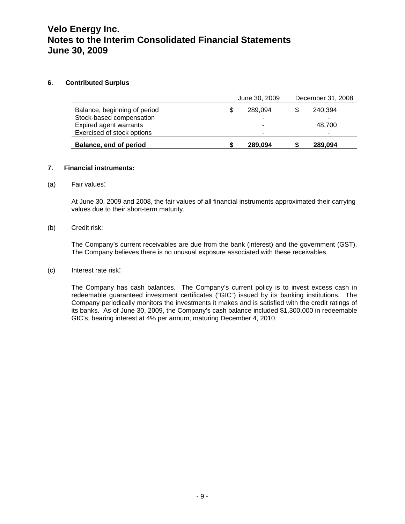### **6. Contributed Surplus**

|                                                                                    | June 30, 2009 | December 31, 2008      |  |  |
|------------------------------------------------------------------------------------|---------------|------------------------|--|--|
| Balance, beginning of period<br>Stock-based compensation<br>Expired agent warrants | 289.094       | 240,394<br>-<br>48,700 |  |  |
| Exercised of stock options                                                         | -             | -                      |  |  |
| Balance, end of period                                                             | 289,094       | 289,094                |  |  |

### **7. Financial instruments:**

### (a) Fair values:

At June 30, 2009 and 2008, the fair values of all financial instruments approximated their carrying values due to their short-term maturity.

### (b) Credit risk:

The Company's current receivables are due from the bank (interest) and the government (GST). The Company believes there is no unusual exposure associated with these receivables.

#### (c) Interest rate risk:

The Company has cash balances. The Company's current policy is to invest excess cash in redeemable guaranteed investment certificates ("GIC") issued by its banking institutions. The Company periodically monitors the investments it makes and is satisfied with the credit ratings of its banks. As of June 30, 2009, the Company's cash balance included \$1,300,000 in redeemable GIC's, bearing interest at 4% per annum, maturing December 4, 2010.